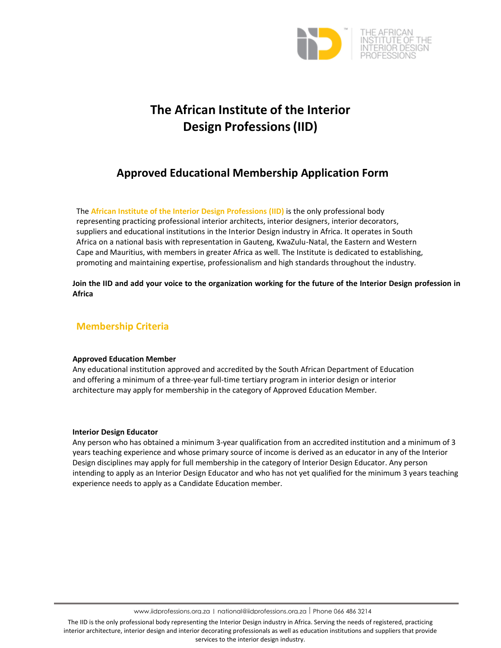

# **The African Institute of the Interior Design Professions(IID)**

## **Approved Educational Membership Application Form**

The **African Institute of the Interior Design Professions (IID)** is the only professional body representing practicing professional interior architects, interior designers, interior decorators, suppliers and educational institutions in the Interior Design industry in Africa. It operates in South Africa on a national basis with representation in Gauteng, KwaZulu‐Natal, the Eastern and Western Cape and Mauritius, with members in greater Africa as well. The Institute is dedicated to establishing, promoting and maintaining expertise, professionalism and high standards throughout the industry.

Join the IID and add your voice to the organization working for the future of the Interior Design profession in **Africa**

### **Membership Criteria**

#### **Approved Education Member**

Any educational institution approved and accredited by the South African Department of Education and offering a minimum of a three-year full-time tertiary program in interior design or interior architecture may apply for membership in the category of Approved Education Member.

#### **Interior Design Educator**

Any person who has obtained a minimum 3‐year qualification from an accredited institution and a minimum of 3 years teaching experience and whose primary source of income is derived as an educator in any of the Interior Design disciplines may apply for full membership in the category of Interior Design Educator. Any person intending to apply as an Interior Design Educator and who has not yet qualified for the minimum 3 years teaching experience needs to apply as a Candidate Education member.

www.iidprofessions.org.za | national@iidprofessions.org.za <sup>|</sup> Phone 066 486 3214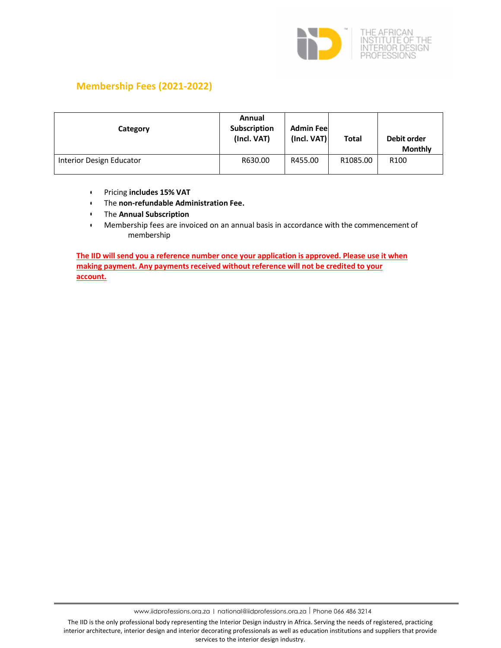

## **Membership Fees (2021‐2022)**

| Category                 | Annual<br><b>Subscription</b><br>(Incl. VAT) | <b>Admin Feel</b><br>(Incl. VAT) | <b>Total</b> | Debit order<br><b>Monthly</b> |
|--------------------------|----------------------------------------------|----------------------------------|--------------|-------------------------------|
| Interior Design Educator | R630.00                                      | R455.00                          | R1085.00     | R <sub>100</sub>              |

- Pricing **includes 15% VAT**
- The **non‐refundable Administration Fee.**
- The **Annual Subscription**
- Membership fees are invoiced on an annual basis in accordance with the commencement of membership

**The IID will send you a reference number once your application is approved. Please use it when making payment. Any paymentsreceived without reference will not be credited to your account.**

www.iidprofessions.org.za | national@iidprofessions.org.za <sup>|</sup> Phone 066 486 3214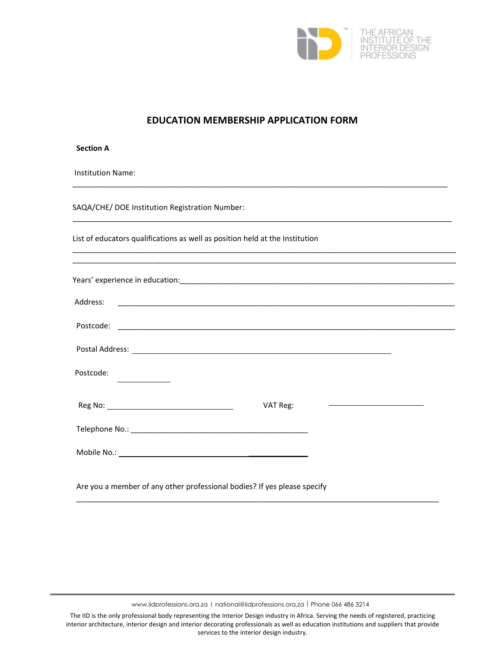

## **EDUCATION MEMBERSHIP APPLICATION FORM**

| <b>Section A</b>         |                                                                                                                                                                                                                                      |          |                                              |  |
|--------------------------|--------------------------------------------------------------------------------------------------------------------------------------------------------------------------------------------------------------------------------------|----------|----------------------------------------------|--|
| <b>Institution Name:</b> |                                                                                                                                                                                                                                      |          |                                              |  |
|                          | SAQA/CHE/ DOE Institution Registration Number:                                                                                                                                                                                       |          |                                              |  |
|                          | List of educators qualifications as well as position held at the Institution                                                                                                                                                         |          |                                              |  |
|                          | <u> 1989 - Johann Harry Harry Harry Harry Harry Harry Harry Harry Harry Harry Harry Harry Harry Harry Harry Harry</u>                                                                                                                |          |                                              |  |
| Address:                 |                                                                                                                                                                                                                                      |          |                                              |  |
|                          |                                                                                                                                                                                                                                      |          |                                              |  |
|                          |                                                                                                                                                                                                                                      |          |                                              |  |
| Postcode:                |                                                                                                                                                                                                                                      |          |                                              |  |
|                          | Reg No: <u>contract the contract of the contract of the contract of the contract of the contract of the contract of the contract of the contract of the contract of the contract of the contract of the contract of the contract</u> | VAT Reg: | <u> 1989 - Johann Barn, fransk politik (</u> |  |
|                          |                                                                                                                                                                                                                                      |          |                                              |  |
|                          |                                                                                                                                                                                                                                      |          |                                              |  |
|                          | Are you a member of any other professional bodies? If yes please specify                                                                                                                                                             |          |                                              |  |
|                          |                                                                                                                                                                                                                                      |          |                                              |  |

www.iidprofessions.org.za | national@iidprofessions.org.za | Phone 066 486 3214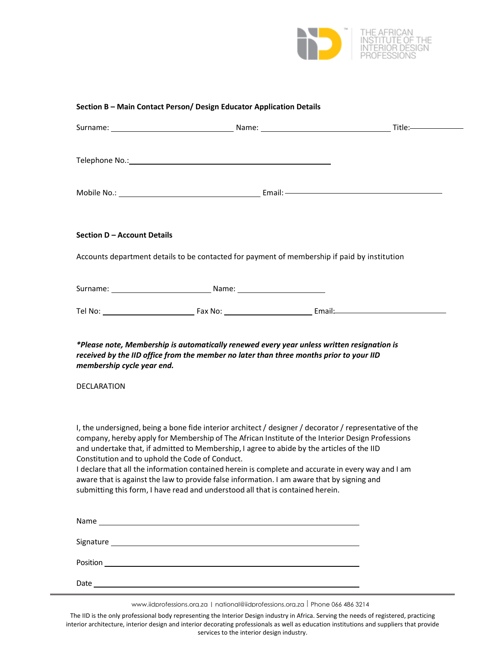

#### **Section B – Main Contact Person/ Design Educator Application Details**

|                                                  | Telephone No.: Note and the set of the set of the set of the set of the set of the set of the set of the set of the set of the set of the set of the set of the set of the set of the set of the set of the set of the set of                                              |                                                                                                                                                                                                                                                                                                                   |
|--------------------------------------------------|----------------------------------------------------------------------------------------------------------------------------------------------------------------------------------------------------------------------------------------------------------------------------|-------------------------------------------------------------------------------------------------------------------------------------------------------------------------------------------------------------------------------------------------------------------------------------------------------------------|
|                                                  |                                                                                                                                                                                                                                                                            |                                                                                                                                                                                                                                                                                                                   |
| Section D - Account Details                      |                                                                                                                                                                                                                                                                            |                                                                                                                                                                                                                                                                                                                   |
|                                                  |                                                                                                                                                                                                                                                                            | Accounts department details to be contacted for payment of membership if paid by institution                                                                                                                                                                                                                      |
|                                                  |                                                                                                                                                                                                                                                                            |                                                                                                                                                                                                                                                                                                                   |
|                                                  |                                                                                                                                                                                                                                                                            |                                                                                                                                                                                                                                                                                                                   |
| membership cycle year end.<br><b>DECLARATION</b> | received by the IID office from the member no later than three months prior to your IID                                                                                                                                                                                    | *Please note, Membership is automatically renewed every year unless written resignation is                                                                                                                                                                                                                        |
| Constitution and to uphold the Code of Conduct.  | and undertake that, if admitted to Membership, I agree to abide by the articles of the IID<br>aware that is against the law to provide false information. I am aware that by signing and<br>submitting this form, I have read and understood all that is contained herein. | I, the undersigned, being a bone fide interior architect / designer / decorator / representative of the<br>company, hereby apply for Membership of The African Institute of the Interior Design Professions<br>I declare that all the information contained herein is complete and accurate in every way and I am |
|                                                  |                                                                                                                                                                                                                                                                            |                                                                                                                                                                                                                                                                                                                   |
|                                                  |                                                                                                                                                                                                                                                                            |                                                                                                                                                                                                                                                                                                                   |
|                                                  |                                                                                                                                                                                                                                                                            |                                                                                                                                                                                                                                                                                                                   |
| Date                                             |                                                                                                                                                                                                                                                                            |                                                                                                                                                                                                                                                                                                                   |

www.iidprofessions.org.za | national@iidprofessions.org.za | Phone 066 486 3214